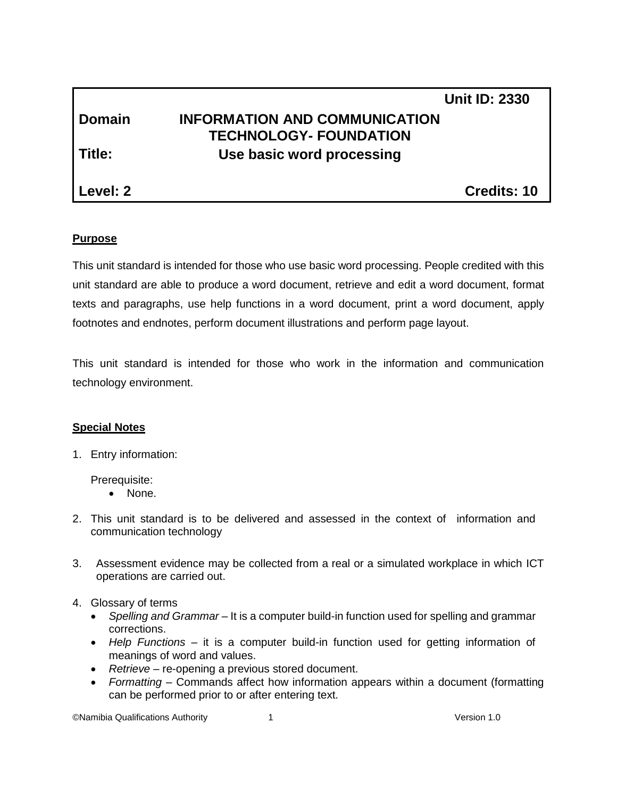|               |                                      | <b>Unit ID: 2330</b> |
|---------------|--------------------------------------|----------------------|
| <b>Domain</b> | <b>INFORMATION AND COMMUNICATION</b> |                      |
|               | <b>TECHNOLOGY- FOUNDATION</b>        |                      |
| Title:        | Use basic word processing            |                      |
|               |                                      |                      |
| Level: 2      |                                      | Credits: 10          |

# **Purpose**

This unit standard is intended for those who use basic word processing. People credited with this unit standard are able to produce a word document, retrieve and edit a word document, format texts and paragraphs, use help functions in a word document, print a word document, apply footnotes and endnotes, perform document illustrations and perform page layout.

This unit standard is intended for those who work in the information and communication technology environment.

# **Special Notes**

1. Entry information:

Prerequisite:

- None.
- 2. This unit standard is to be delivered and assessed in the context of information and communication technology
- 3. Assessment evidence may be collected from a real or a simulated workplace in which ICT operations are carried out.
- 4. Glossary of terms
	- *Spelling and Grammar* It is a computer build-in function used for spelling and grammar corrections.
	- *Help Functions* it is a computer build-in function used for getting information of meanings of word and values.
	- *Retrieve* re-opening a previous stored document.
	- *Formatting* Commands affect how information appears within a document (formatting can be performed prior to or after entering text.

©Namibia Qualifications Authority 1 Version 1.0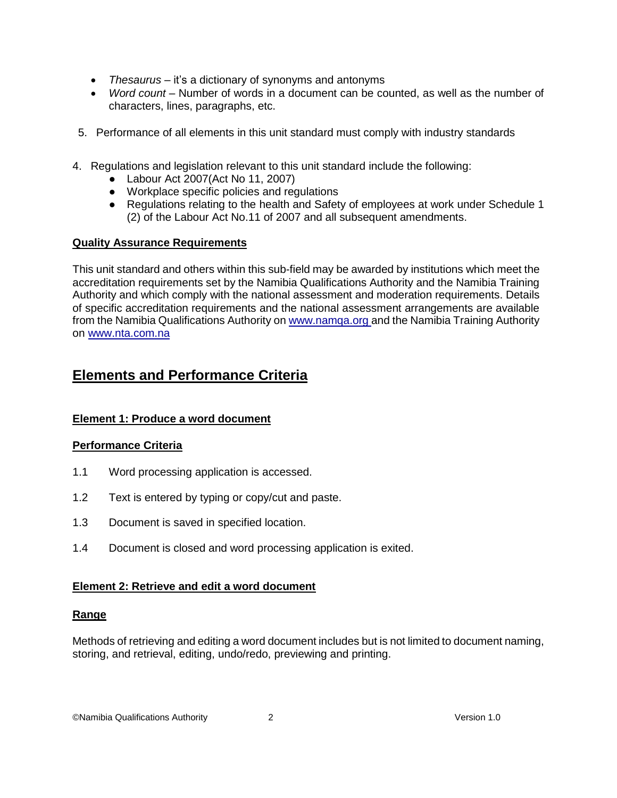- *Thesaurus* it's a dictionary of synonyms and antonyms
- *Word count* Number of words in a document can be counted, as well as the number of characters, lines, paragraphs, etc.
- 5. Performance of all elements in this unit standard must comply with industry standards
- 4. Regulations and legislation relevant to this unit standard include the following:
	- Labour Act 2007(Act No 11, 2007)
	- Workplace specific policies and regulations
	- Regulations relating to the health and Safety of employees at work under Schedule 1 (2) of the Labour Act No.11 of 2007 and all subsequent amendments.

# **Quality Assurance Requirements**

This unit standard and others within this sub-field may be awarded by institutions which meet the accreditation requirements set by the Namibia Qualifications Authority and the Namibia Training Authority and which comply with the national assessment and moderation requirements. Details of specific accreditation requirements and the national assessment arrangements are available from the Namibia Qualifications Authority o[n www.namqa.org](http://www.namqa.org/) and the Namibia Training Authority on [www.nta.com.na](http://www.nta.com.na/)

# **Elements and Performance Criteria**

# **Element 1: Produce a word document**

# **Performance Criteria**

- 1.1 Word processing application is accessed.
- 1.2 Text is entered by typing or copy/cut and paste.
- 1.3 Document is saved in specified location.
- 1.4 Document is closed and word processing application is exited.

# **Element 2: Retrieve and edit a word document**

# **Range**

Methods of retrieving and editing a word document includes but is not limited to document naming, storing, and retrieval, editing, undo/redo, previewing and printing.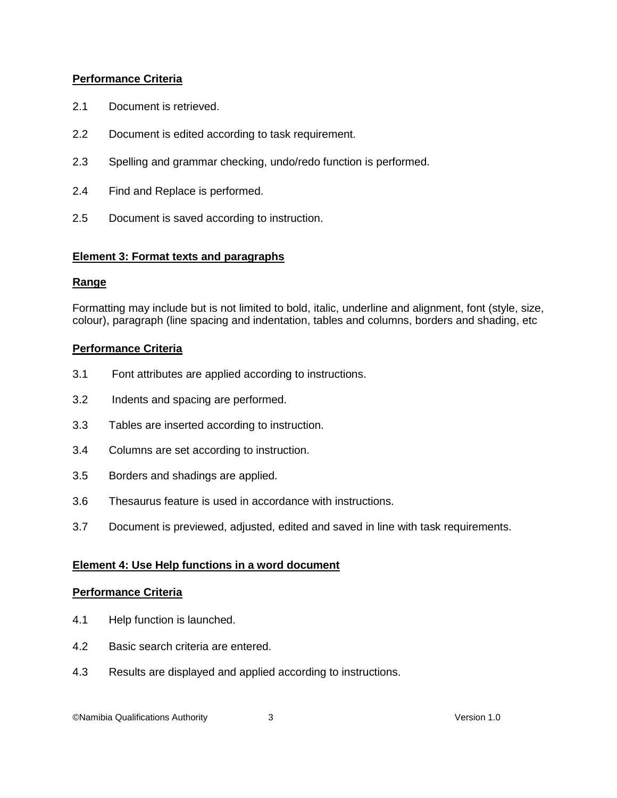# **Performance Criteria**

- 2.1 Document is retrieved.
- 2.2 Document is edited according to task requirement.
- 2.3 Spelling and grammar checking, undo/redo function is performed.
- 2.4 Find and Replace is performed.
- 2.5 Document is saved according to instruction.

# **Element 3: Format texts and paragraphs**

#### **Range**

Formatting may include but is not limited to bold, italic, underline and alignment, font (style, size, colour), paragraph (line spacing and indentation, tables and columns, borders and shading, etc

# **Performance Criteria**

- 3.1 Font attributes are applied according to instructions.
- 3.2 Indents and spacing are performed.
- 3.3 Tables are inserted according to instruction.
- 3.4 Columns are set according to instruction.
- 3.5 Borders and shadings are applied.
- 3.6 Thesaurus feature is used in accordance with instructions.
- 3.7 Document is previewed, adjusted, edited and saved in line with task requirements.

#### **Element 4: Use Help functions in a word document**

#### **Performance Criteria**

- 4.1 Help function is launched.
- 4.2 Basic search criteria are entered.
- 4.3 Results are displayed and applied according to instructions.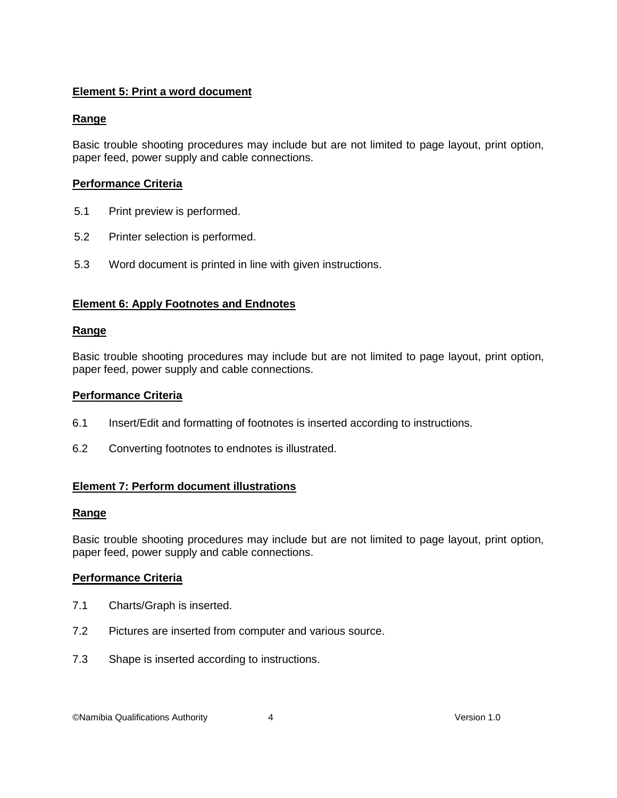# **Element 5: Print a word document**

# **Range**

Basic trouble shooting procedures may include but are not limited to page layout, print option, paper feed, power supply and cable connections.

# **Performance Criteria**

- 5.1 Print preview is performed.
- 5.2 Printer selection is performed.
- 5.3 Word document is printed in line with given instructions.

# **Element 6: Apply Footnotes and Endnotes**

# **Range**

Basic trouble shooting procedures may include but are not limited to page layout, print option, paper feed, power supply and cable connections.

#### **Performance Criteria**

- 6.1 Insert/Edit and formatting of footnotes is inserted according to instructions.
- 6.2 Converting footnotes to endnotes is illustrated.

# **Element 7: Perform document illustrations**

# **Range**

Basic trouble shooting procedures may include but are not limited to page layout, print option, paper feed, power supply and cable connections.

# **Performance Criteria**

- 7.1 Charts/Graph is inserted.
- 7.2 Pictures are inserted from computer and various source.
- 7.3 Shape is inserted according to instructions.